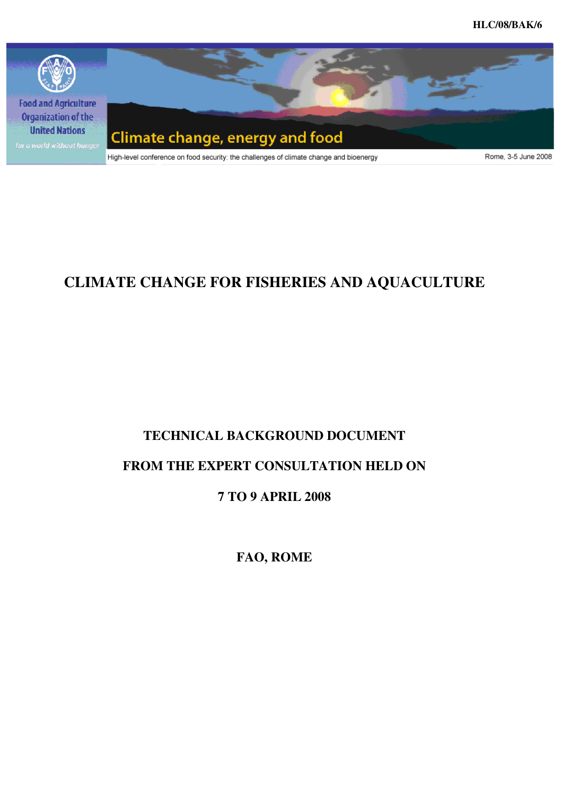

# **CLIMATE CHANGE FOR FISHERIES AND AQUACULTURE**

# **TECHNICAL BACKGROUND DOCUMENT**

# **FROM THE EXPERT CONSULTATION HELD ON**

# **7 TO 9 APRIL 2008**

**FAO, ROME**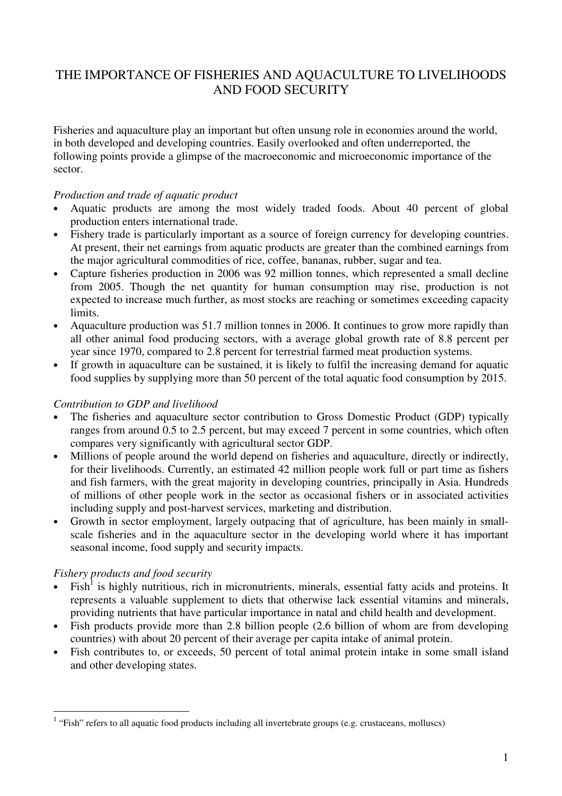# THE IMPORTANCE OF FISHERIES AND AQUACULTURE TO LIVELIHOODS AND FOOD SECURITY

Fisheries and aquaculture play an important but often unsung role in economies around the world, in both developed and developing countries. Easily overlooked and often underreported, the following points provide a glimpse of the macroeconomic and microeconomic importance of the sector.

#### *Production and trade of aquatic product*

- Aquatic products are among the most widely traded foods. About 40 percent of global production enters international trade.
- Fishery trade is particularly important as a source of foreign currency for developing countries. At present, their net earnings from aquatic products are greater than the combined earnings from the major agricultural commodities of rice, coffee, bananas, rubber, sugar and tea.
- Capture fisheries production in 2006 was 92 million tonnes, which represented a small decline from 2005. Though the net quantity for human consumption may rise, production is not expected to increase much further, as most stocks are reaching or sometimes exceeding capacity limits.
- Aquaculture production was 51.7 million tonnes in 2006. It continues to grow more rapidly than all other animal food producing sectors, with a average global growth rate of 8.8 percent per year since 1970, compared to 2.8 percent for terrestrial farmed meat production systems.
- If growth in aquaculture can be sustained, it is likely to fulfil the increasing demand for aquatic food supplies by supplying more than 50 percent of the total aquatic food consumption by 2015.

#### *Contribution to GDP and livelihood*

- The fisheries and aquaculture sector contribution to Gross Domestic Product (GDP) typically ranges from around 0.5 to 2.5 percent, but may exceed 7 percent in some countries, which often compares very significantly with agricultural sector GDP.
- Millions of people around the world depend on fisheries and aquaculture, directly or indirectly, for their livelihoods. Currently, an estimated 42 million people work full or part time as fishers and fish farmers, with the great majority in developing countries, principally in Asia. Hundreds of millions of other people work in the sector as occasional fishers or in associated activities including supply and post-harvest services, marketing and distribution.
- Growth in sector employment, largely outpacing that of agriculture, has been mainly in smallscale fisheries and in the aquaculture sector in the developing world where it has important seasonal income, food supply and security impacts.

# *Fishery products and food security*

 $\overline{a}$ 

- $\bullet$  Fish<sup>1</sup> is highly nutritious, rich in micronutrients, minerals, essential fatty acids and proteins. It represents a valuable supplement to diets that otherwise lack essential vitamins and minerals, providing nutrients that have particular importance in natal and child health and development.
- Fish products provide more than 2.8 billion people (2.6 billion of whom are from developing countries) with about 20 percent of their average per capita intake of animal protein.
- Fish contributes to, or exceeds, 50 percent of total animal protein intake in some small island and other developing states.

 $1$  "Fish" refers to all aquatic food products including all invertebrate groups (e.g. crustaceans, molluscs)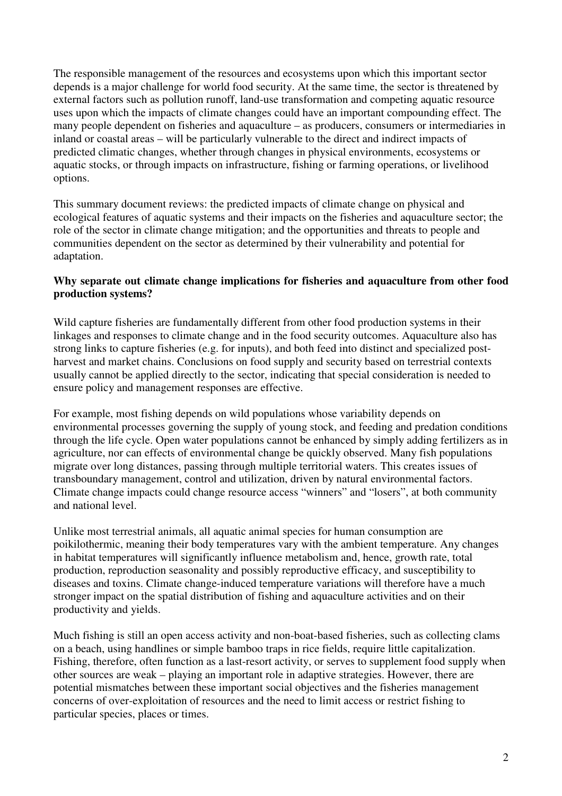The responsible management of the resources and ecosystems upon which this important sector depends is a major challenge for world food security. At the same time, the sector is threatened by external factors such as pollution runoff, land-use transformation and competing aquatic resource uses upon which the impacts of climate changes could have an important compounding effect. The many people dependent on fisheries and aquaculture – as producers, consumers or intermediaries in inland or coastal areas – will be particularly vulnerable to the direct and indirect impacts of predicted climatic changes, whether through changes in physical environments, ecosystems or aquatic stocks, or through impacts on infrastructure, fishing or farming operations, or livelihood options.

This summary document reviews: the predicted impacts of climate change on physical and ecological features of aquatic systems and their impacts on the fisheries and aquaculture sector; the role of the sector in climate change mitigation; and the opportunities and threats to people and communities dependent on the sector as determined by their vulnerability and potential for adaptation.

# **Why separate out climate change implications for fisheries and aquaculture from other food production systems?**

Wild capture fisheries are fundamentally different from other food production systems in their linkages and responses to climate change and in the food security outcomes. Aquaculture also has strong links to capture fisheries (e.g. for inputs), and both feed into distinct and specialized postharvest and market chains. Conclusions on food supply and security based on terrestrial contexts usually cannot be applied directly to the sector, indicating that special consideration is needed to ensure policy and management responses are effective.

For example, most fishing depends on wild populations whose variability depends on environmental processes governing the supply of young stock, and feeding and predation conditions through the life cycle. Open water populations cannot be enhanced by simply adding fertilizers as in agriculture, nor can effects of environmental change be quickly observed. Many fish populations migrate over long distances, passing through multiple territorial waters. This creates issues of transboundary management, control and utilization, driven by natural environmental factors. Climate change impacts could change resource access "winners" and "losers", at both community and national level.

Unlike most terrestrial animals, all aquatic animal species for human consumption are poikilothermic, meaning their body temperatures vary with the ambient temperature. Any changes in habitat temperatures will significantly influence metabolism and, hence, growth rate, total production, reproduction seasonality and possibly reproductive efficacy, and susceptibility to diseases and toxins. Climate change-induced temperature variations will therefore have a much stronger impact on the spatial distribution of fishing and aquaculture activities and on their productivity and yields.

Much fishing is still an open access activity and non-boat-based fisheries, such as collecting clams on a beach, using handlines or simple bamboo traps in rice fields, require little capitalization. Fishing, therefore, often function as a last-resort activity, or serves to supplement food supply when other sources are weak – playing an important role in adaptive strategies. However, there are potential mismatches between these important social objectives and the fisheries management concerns of over-exploitation of resources and the need to limit access or restrict fishing to particular species, places or times.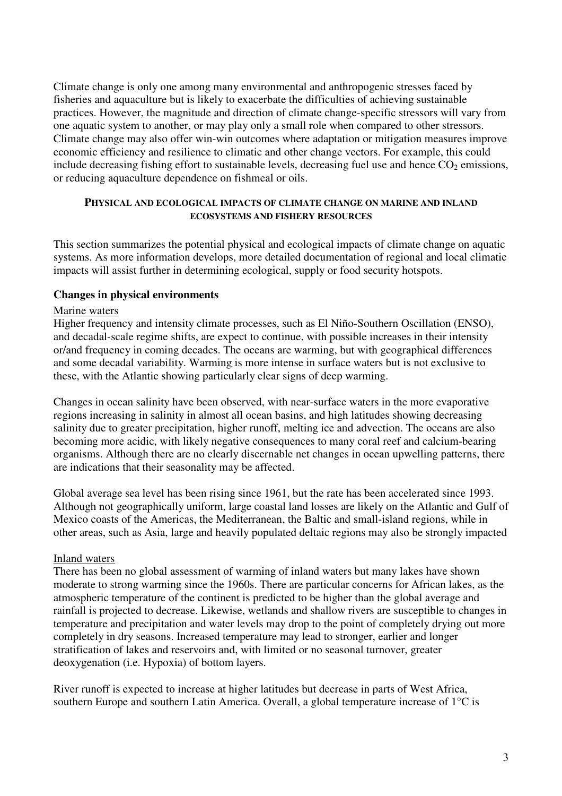Climate change is only one among many environmental and anthropogenic stresses faced by fisheries and aquaculture but is likely to exacerbate the difficulties of achieving sustainable practices. However, the magnitude and direction of climate change-specific stressors will vary from one aquatic system to another, or may play only a small role when compared to other stressors. Climate change may also offer win-win outcomes where adaptation or mitigation measures improve economic efficiency and resilience to climatic and other change vectors. For example, this could include decreasing fishing effort to sustainable levels, decreasing fuel use and hence  $CO<sub>2</sub>$  emissions, or reducing aquaculture dependence on fishmeal or oils.

#### **PHYSICAL AND ECOLOGICAL IMPACTS OF CLIMATE CHANGE ON MARINE AND INLAND ECOSYSTEMS AND FISHERY RESOURCES**

This section summarizes the potential physical and ecological impacts of climate change on aquatic systems. As more information develops, more detailed documentation of regional and local climatic impacts will assist further in determining ecological, supply or food security hotspots.

#### **Changes in physical environments**

#### Marine waters

Higher frequency and intensity climate processes, such as El Niño-Southern Oscillation (ENSO), and decadal-scale regime shifts, are expect to continue, with possible increases in their intensity or/and frequency in coming decades. The oceans are warming, but with geographical differences and some decadal variability. Warming is more intense in surface waters but is not exclusive to these, with the Atlantic showing particularly clear signs of deep warming.

Changes in ocean salinity have been observed, with near-surface waters in the more evaporative regions increasing in salinity in almost all ocean basins, and high latitudes showing decreasing salinity due to greater precipitation, higher runoff, melting ice and advection. The oceans are also becoming more acidic, with likely negative consequences to many coral reef and calcium-bearing organisms. Although there are no clearly discernable net changes in ocean upwelling patterns, there are indications that their seasonality may be affected.

Global average sea level has been rising since 1961, but the rate has been accelerated since 1993. Although not geographically uniform, large coastal land losses are likely on the Atlantic and Gulf of Mexico coasts of the Americas, the Mediterranean, the Baltic and small-island regions, while in other areas, such as Asia, large and heavily populated deltaic regions may also be strongly impacted

#### Inland waters

There has been no global assessment of warming of inland waters but many lakes have shown moderate to strong warming since the 1960s. There are particular concerns for African lakes, as the atmospheric temperature of the continent is predicted to be higher than the global average and rainfall is projected to decrease. Likewise, wetlands and shallow rivers are susceptible to changes in temperature and precipitation and water levels may drop to the point of completely drying out more completely in dry seasons. Increased temperature may lead to stronger, earlier and longer stratification of lakes and reservoirs and, with limited or no seasonal turnover, greater deoxygenation (i.e. Hypoxia) of bottom layers.

River runoff is expected to increase at higher latitudes but decrease in parts of West Africa, southern Europe and southern Latin America. Overall, a global temperature increase of 1°C is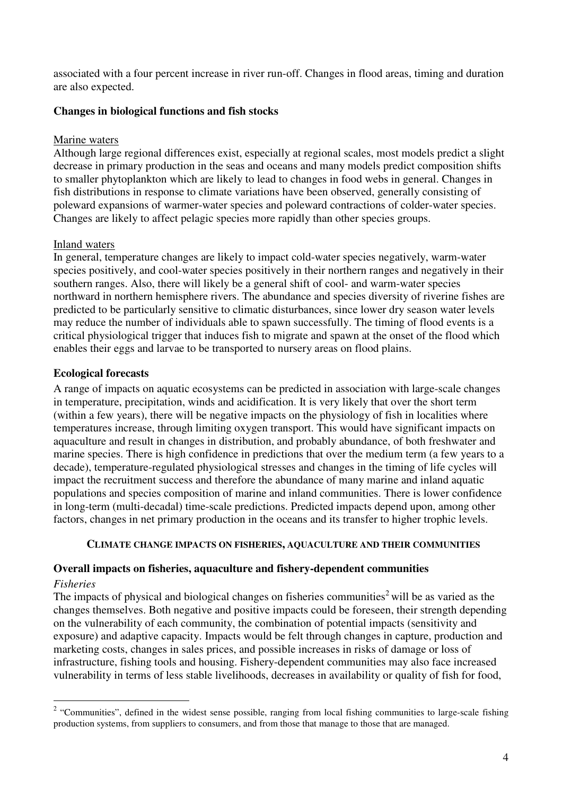associated with a four percent increase in river run-off. Changes in flood areas, timing and duration are also expected.

# **Changes in biological functions and fish stocks**

# Marine waters

Although large regional differences exist, especially at regional scales, most models predict a slight decrease in primary production in the seas and oceans and many models predict composition shifts to smaller phytoplankton which are likely to lead to changes in food webs in general. Changes in fish distributions in response to climate variations have been observed, generally consisting of poleward expansions of warmer-water species and poleward contractions of colder-water species. Changes are likely to affect pelagic species more rapidly than other species groups.

# Inland waters

In general, temperature changes are likely to impact cold-water species negatively, warm-water species positively, and cool-water species positively in their northern ranges and negatively in their southern ranges. Also, there will likely be a general shift of cool- and warm-water species northward in northern hemisphere rivers. The abundance and species diversity of riverine fishes are predicted to be particularly sensitive to climatic disturbances, since lower dry season water levels may reduce the number of individuals able to spawn successfully. The timing of flood events is a critical physiological trigger that induces fish to migrate and spawn at the onset of the flood which enables their eggs and larvae to be transported to nursery areas on flood plains.

# **Ecological forecasts**

A range of impacts on aquatic ecosystems can be predicted in association with large-scale changes in temperature, precipitation, winds and acidification. It is very likely that over the short term (within a few years), there will be negative impacts on the physiology of fish in localities where temperatures increase, through limiting oxygen transport. This would have significant impacts on aquaculture and result in changes in distribution, and probably abundance, of both freshwater and marine species. There is high confidence in predictions that over the medium term (a few years to a decade), temperature-regulated physiological stresses and changes in the timing of life cycles will impact the recruitment success and therefore the abundance of many marine and inland aquatic populations and species composition of marine and inland communities. There is lower confidence in long-term (multi-decadal) time-scale predictions. Predicted impacts depend upon, among other factors, changes in net primary production in the oceans and its transfer to higher trophic levels.

#### **CLIMATE CHANGE IMPACTS ON FISHERIES, AQUACULTURE AND THEIR COMMUNITIES**

# **Overall impacts on fisheries, aquaculture and fishery-dependent communities**

#### *Fisheries*

The impacts of physical and biological changes on fisheries communities<sup>2</sup> will be as varied as the changes themselves. Both negative and positive impacts could be foreseen, their strength depending on the vulnerability of each community, the combination of potential impacts (sensitivity and exposure) and adaptive capacity. Impacts would be felt through changes in capture, production and marketing costs, changes in sales prices, and possible increases in risks of damage or loss of infrastructure, fishing tools and housing. Fishery-dependent communities may also face increased vulnerability in terms of less stable livelihoods, decreases in availability or quality of fish for food,

<sup>&</sup>lt;sup>2</sup> "Communities", defined in the widest sense possible, ranging from local fishing communities to large-scale fishing production systems, from suppliers to consumers, and from those that manage to those that are managed.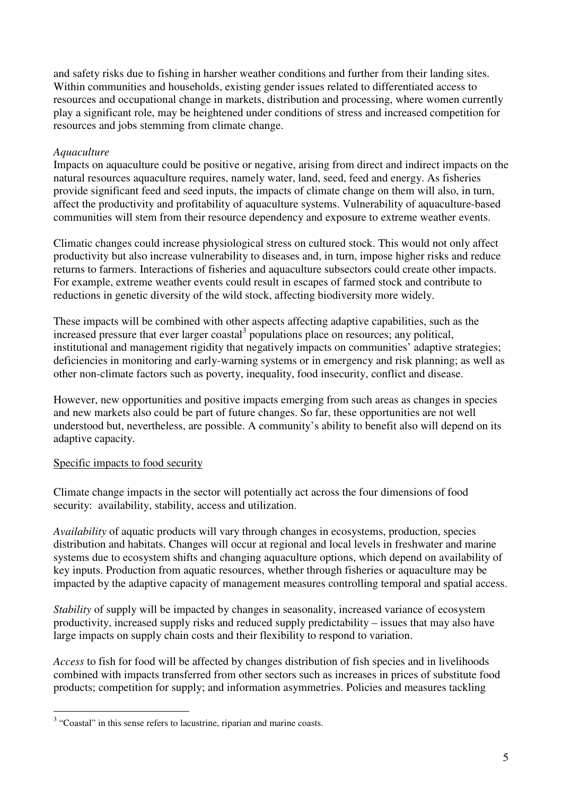and safety risks due to fishing in harsher weather conditions and further from their landing sites. Within communities and households, existing gender issues related to differentiated access to resources and occupational change in markets, distribution and processing, where women currently play a significant role, may be heightened under conditions of stress and increased competition for resources and jobs stemming from climate change.

# *Aquaculture*

Impacts on aquaculture could be positive or negative, arising from direct and indirect impacts on the natural resources aquaculture requires, namely water, land, seed, feed and energy. As fisheries provide significant feed and seed inputs, the impacts of climate change on them will also, in turn, affect the productivity and profitability of aquaculture systems. Vulnerability of aquaculture-based communities will stem from their resource dependency and exposure to extreme weather events.

Climatic changes could increase physiological stress on cultured stock. This would not only affect productivity but also increase vulnerability to diseases and, in turn, impose higher risks and reduce returns to farmers. Interactions of fisheries and aquaculture subsectors could create other impacts. For example, extreme weather events could result in escapes of farmed stock and contribute to reductions in genetic diversity of the wild stock, affecting biodiversity more widely.

These impacts will be combined with other aspects affecting adaptive capabilities, such as the increased pressure that ever larger coastal<sup>3</sup> populations place on resources; any political, institutional and management rigidity that negatively impacts on communities' adaptive strategies; deficiencies in monitoring and early-warning systems or in emergency and risk planning; as well as other non-climate factors such as poverty, inequality, food insecurity, conflict and disease.

However, new opportunities and positive impacts emerging from such areas as changes in species and new markets also could be part of future changes. So far, these opportunities are not well understood but, nevertheless, are possible. A community's ability to benefit also will depend on its adaptive capacity.

#### Specific impacts to food security

 $\overline{a}$ 

Climate change impacts in the sector will potentially act across the four dimensions of food security: availability, stability, access and utilization.

*Availability* of aquatic products will vary through changes in ecosystems, production, species distribution and habitats. Changes will occur at regional and local levels in freshwater and marine systems due to ecosystem shifts and changing aquaculture options, which depend on availability of key inputs. Production from aquatic resources, whether through fisheries or aquaculture may be impacted by the adaptive capacity of management measures controlling temporal and spatial access.

*Stability* of supply will be impacted by changes in seasonality, increased variance of ecosystem productivity, increased supply risks and reduced supply predictability – issues that may also have large impacts on supply chain costs and their flexibility to respond to variation.

*Access* to fish for food will be affected by changes distribution of fish species and in livelihoods combined with impacts transferred from other sectors such as increases in prices of substitute food products; competition for supply; and information asymmetries. Policies and measures tackling

 $3$  "Coastal" in this sense refers to lacustrine, riparian and marine coasts.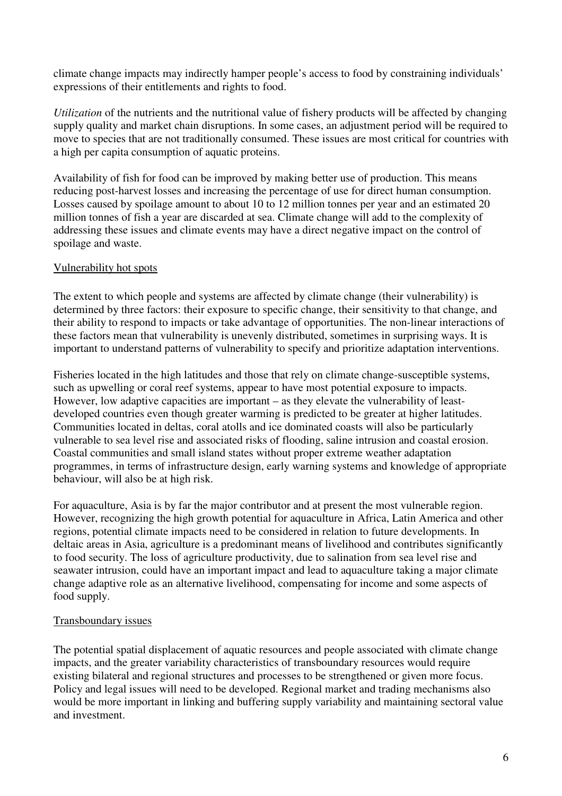climate change impacts may indirectly hamper people's access to food by constraining individuals' expressions of their entitlements and rights to food.

*Utilization* of the nutrients and the nutritional value of fishery products will be affected by changing supply quality and market chain disruptions. In some cases, an adjustment period will be required to move to species that are not traditionally consumed. These issues are most critical for countries with a high per capita consumption of aquatic proteins.

Availability of fish for food can be improved by making better use of production. This means reducing post-harvest losses and increasing the percentage of use for direct human consumption. Losses caused by spoilage amount to about 10 to 12 million tonnes per year and an estimated 20 million tonnes of fish a year are discarded at sea. Climate change will add to the complexity of addressing these issues and climate events may have a direct negative impact on the control of spoilage and waste.

# Vulnerability hot spots

The extent to which people and systems are affected by climate change (their vulnerability) is determined by three factors: their exposure to specific change, their sensitivity to that change, and their ability to respond to impacts or take advantage of opportunities. The non-linear interactions of these factors mean that vulnerability is unevenly distributed, sometimes in surprising ways. It is important to understand patterns of vulnerability to specify and prioritize adaptation interventions.

Fisheries located in the high latitudes and those that rely on climate change-susceptible systems, such as upwelling or coral reef systems, appear to have most potential exposure to impacts. However, low adaptive capacities are important – as they elevate the vulnerability of leastdeveloped countries even though greater warming is predicted to be greater at higher latitudes. Communities located in deltas, coral atolls and ice dominated coasts will also be particularly vulnerable to sea level rise and associated risks of flooding, saline intrusion and coastal erosion. Coastal communities and small island states without proper extreme weather adaptation programmes, in terms of infrastructure design, early warning systems and knowledge of appropriate behaviour, will also be at high risk.

For aquaculture, Asia is by far the major contributor and at present the most vulnerable region. However, recognizing the high growth potential for aquaculture in Africa, Latin America and other regions, potential climate impacts need to be considered in relation to future developments. In deltaic areas in Asia, agriculture is a predominant means of livelihood and contributes significantly to food security. The loss of agriculture productivity, due to salination from sea level rise and seawater intrusion, could have an important impact and lead to aquaculture taking a major climate change adaptive role as an alternative livelihood, compensating for income and some aspects of food supply.

# Transboundary issues

The potential spatial displacement of aquatic resources and people associated with climate change impacts, and the greater variability characteristics of transboundary resources would require existing bilateral and regional structures and processes to be strengthened or given more focus. Policy and legal issues will need to be developed. Regional market and trading mechanisms also would be more important in linking and buffering supply variability and maintaining sectoral value and investment.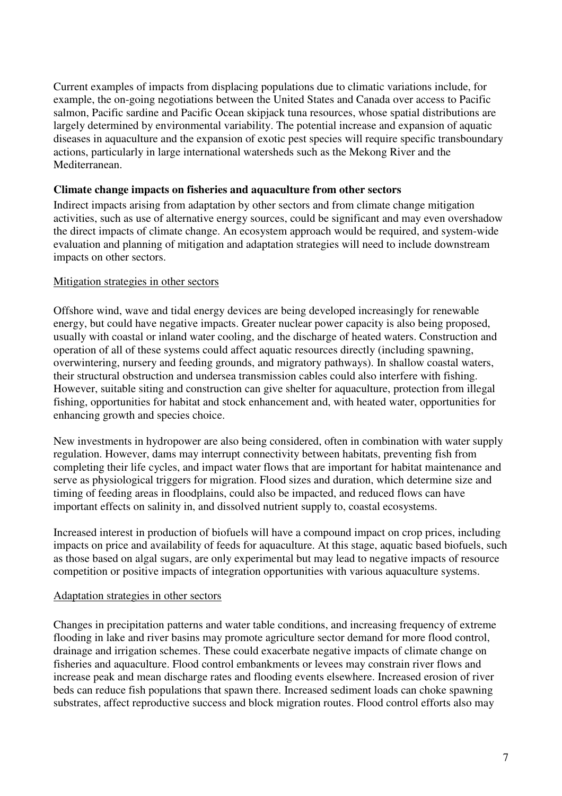Current examples of impacts from displacing populations due to climatic variations include, for example, the on-going negotiations between the United States and Canada over access to Pacific salmon, Pacific sardine and Pacific Ocean skipjack tuna resources, whose spatial distributions are largely determined by environmental variability. The potential increase and expansion of aquatic diseases in aquaculture and the expansion of exotic pest species will require specific transboundary actions, particularly in large international watersheds such as the Mekong River and the Mediterranean.

### **Climate change impacts on fisheries and aquaculture from other sectors**

Indirect impacts arising from adaptation by other sectors and from climate change mitigation activities, such as use of alternative energy sources, could be significant and may even overshadow the direct impacts of climate change. An ecosystem approach would be required, and system-wide evaluation and planning of mitigation and adaptation strategies will need to include downstream impacts on other sectors.

#### Mitigation strategies in other sectors

Offshore wind, wave and tidal energy devices are being developed increasingly for renewable energy, but could have negative impacts. Greater nuclear power capacity is also being proposed, usually with coastal or inland water cooling, and the discharge of heated waters. Construction and operation of all of these systems could affect aquatic resources directly (including spawning, overwintering, nursery and feeding grounds, and migratory pathways). In shallow coastal waters, their structural obstruction and undersea transmission cables could also interfere with fishing. However, suitable siting and construction can give shelter for aquaculture, protection from illegal fishing, opportunities for habitat and stock enhancement and, with heated water, opportunities for enhancing growth and species choice.

New investments in hydropower are also being considered, often in combination with water supply regulation. However, dams may interrupt connectivity between habitats, preventing fish from completing their life cycles, and impact water flows that are important for habitat maintenance and serve as physiological triggers for migration. Flood sizes and duration, which determine size and timing of feeding areas in floodplains, could also be impacted, and reduced flows can have important effects on salinity in, and dissolved nutrient supply to, coastal ecosystems.

Increased interest in production of biofuels will have a compound impact on crop prices, including impacts on price and availability of feeds for aquaculture. At this stage, aquatic based biofuels, such as those based on algal sugars, are only experimental but may lead to negative impacts of resource competition or positive impacts of integration opportunities with various aquaculture systems.

#### Adaptation strategies in other sectors

Changes in precipitation patterns and water table conditions, and increasing frequency of extreme flooding in lake and river basins may promote agriculture sector demand for more flood control, drainage and irrigation schemes. These could exacerbate negative impacts of climate change on fisheries and aquaculture. Flood control embankments or levees may constrain river flows and increase peak and mean discharge rates and flooding events elsewhere. Increased erosion of river beds can reduce fish populations that spawn there. Increased sediment loads can choke spawning substrates, affect reproductive success and block migration routes. Flood control efforts also may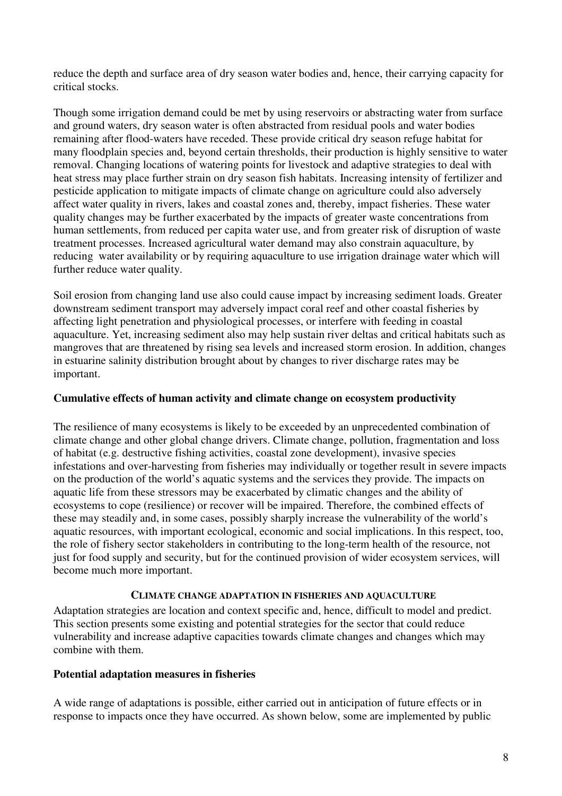reduce the depth and surface area of dry season water bodies and, hence, their carrying capacity for critical stocks.

Though some irrigation demand could be met by using reservoirs or abstracting water from surface and ground waters, dry season water is often abstracted from residual pools and water bodies remaining after flood-waters have receded. These provide critical dry season refuge habitat for many floodplain species and, beyond certain thresholds, their production is highly sensitive to water removal. Changing locations of watering points for livestock and adaptive strategies to deal with heat stress may place further strain on dry season fish habitats. Increasing intensity of fertilizer and pesticide application to mitigate impacts of climate change on agriculture could also adversely affect water quality in rivers, lakes and coastal zones and, thereby, impact fisheries. These water quality changes may be further exacerbated by the impacts of greater waste concentrations from human settlements, from reduced per capita water use, and from greater risk of disruption of waste treatment processes. Increased agricultural water demand may also constrain aquaculture, by reducing water availability or by requiring aquaculture to use irrigation drainage water which will further reduce water quality.

Soil erosion from changing land use also could cause impact by increasing sediment loads. Greater downstream sediment transport may adversely impact coral reef and other coastal fisheries by affecting light penetration and physiological processes, or interfere with feeding in coastal aquaculture. Yet, increasing sediment also may help sustain river deltas and critical habitats such as mangroves that are threatened by rising sea levels and increased storm erosion. In addition, changes in estuarine salinity distribution brought about by changes to river discharge rates may be important.

### **Cumulative effects of human activity and climate change on ecosystem productivity**

The resilience of many ecosystems is likely to be exceeded by an unprecedented combination of climate change and other global change drivers. Climate change, pollution, fragmentation and loss of habitat (e.g. destructive fishing activities, coastal zone development), invasive species infestations and over-harvesting from fisheries may individually or together result in severe impacts on the production of the world's aquatic systems and the services they provide. The impacts on aquatic life from these stressors may be exacerbated by climatic changes and the ability of ecosystems to cope (resilience) or recover will be impaired. Therefore, the combined effects of these may steadily and, in some cases, possibly sharply increase the vulnerability of the world's aquatic resources, with important ecological, economic and social implications. In this respect, too, the role of fishery sector stakeholders in contributing to the long-term health of the resource, not just for food supply and security, but for the continued provision of wider ecosystem services, will become much more important.

#### **CLIMATE CHANGE ADAPTATION IN FISHERIES AND AQUACULTURE**

Adaptation strategies are location and context specific and, hence, difficult to model and predict. This section presents some existing and potential strategies for the sector that could reduce vulnerability and increase adaptive capacities towards climate changes and changes which may combine with them.

#### **Potential adaptation measures in fisheries**

A wide range of adaptations is possible, either carried out in anticipation of future effects or in response to impacts once they have occurred. As shown below, some are implemented by public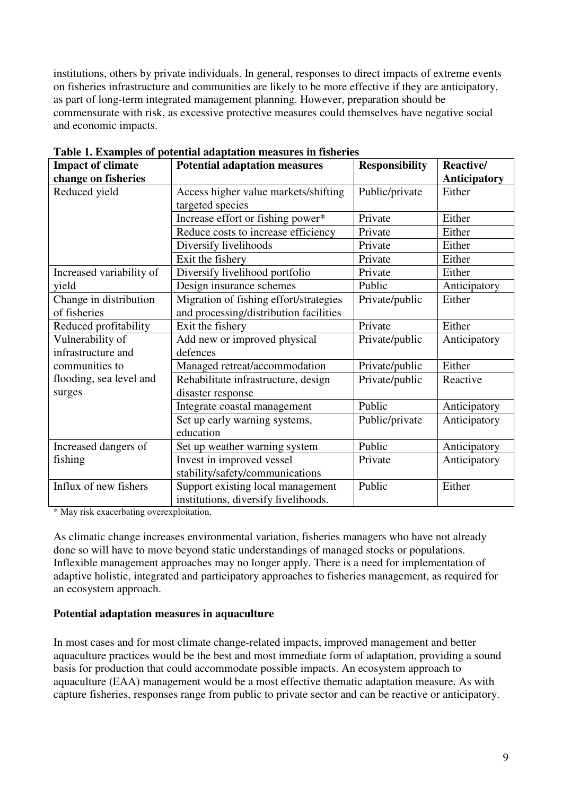institutions, others by private individuals. In general, responses to direct impacts of extreme events on fisheries infrastructure and communities are likely to be more effective if they are anticipatory, as part of long-term integrated management planning. However, preparation should be commensurate with risk, as excessive protective measures could themselves have negative social and economic impacts.

| <b>Impact of climate</b> | <b>Potential adaptation measures</b>   | <b>Responsibility</b> | Reactive/           |
|--------------------------|----------------------------------------|-----------------------|---------------------|
| change on fisheries      |                                        |                       | <b>Anticipatory</b> |
| Reduced yield            | Access higher value markets/shifting   | Public/private        | Either              |
|                          | targeted species                       |                       |                     |
|                          | Increase effort or fishing power*      | Private               | Either              |
|                          | Reduce costs to increase efficiency    | Private               | Either              |
|                          | Diversify livelihoods                  | Private               | Either              |
|                          | Exit the fishery                       | Private               | Either              |
| Increased variability of | Diversify livelihood portfolio         | Private               | Either              |
| yield                    | Design insurance schemes               | Public                | Anticipatory        |
| Change in distribution   | Migration of fishing effort/strategies | Private/public        | Either              |
| of fisheries             | and processing/distribution facilities |                       |                     |
| Reduced profitability    | Exit the fishery                       | Private               | Either              |
| Vulnerability of         | Add new or improved physical           | Private/public        | Anticipatory        |
| infrastructure and       | defences                               |                       |                     |
| communities to           | Managed retreat/accommodation          | Private/public        | Either              |
| flooding, sea level and  | Rehabilitate infrastructure, design    | Private/public        | Reactive            |
| surges                   | disaster response                      |                       |                     |
|                          | Integrate coastal management           | Public                | Anticipatory        |
|                          | Set up early warning systems,          | Public/private        | Anticipatory        |
|                          | education                              |                       |                     |
| Increased dangers of     | Set up weather warning system          | Public                | Anticipatory        |
| fishing                  | Invest in improved vessel              | Private               | Anticipatory        |
|                          | stability/safety/communications        |                       |                     |
| Influx of new fishers    | Support existing local management      | Public                | Either              |
|                          | institutions, diversify livelihoods.   |                       |                     |

**Table 1. Examples of potential adaptation measures in fisheries** 

\* May risk exacerbating overexploitation.

As climatic change increases environmental variation, fisheries managers who have not already done so will have to move beyond static understandings of managed stocks or populations. Inflexible management approaches may no longer apply. There is a need for implementation of adaptive holistic, integrated and participatory approaches to fisheries management, as required for an ecosystem approach.

# **Potential adaptation measures in aquaculture**

In most cases and for most climate change-related impacts, improved management and better aquaculture practices would be the best and most immediate form of adaptation, providing a sound basis for production that could accommodate possible impacts. An ecosystem approach to aquaculture (EAA) management would be a most effective thematic adaptation measure. As with capture fisheries, responses range from public to private sector and can be reactive or anticipatory.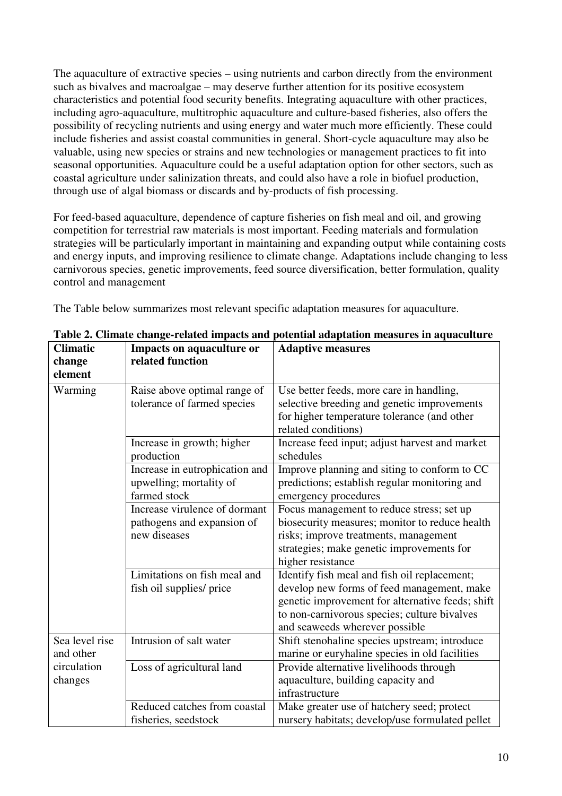The aquaculture of extractive species – using nutrients and carbon directly from the environment such as bivalves and macroalgae – may deserve further attention for its positive ecosystem characteristics and potential food security benefits. Integrating aquaculture with other practices, including agro-aquaculture, multitrophic aquaculture and culture-based fisheries, also offers the possibility of recycling nutrients and using energy and water much more efficiently. These could include fisheries and assist coastal communities in general. Short-cycle aquaculture may also be valuable, using new species or strains and new technologies or management practices to fit into seasonal opportunities. Aquaculture could be a useful adaptation option for other sectors, such as coastal agriculture under salinization threats, and could also have a role in biofuel production, through use of algal biomass or discards and by-products of fish processing.

For feed-based aquaculture, dependence of capture fisheries on fish meal and oil, and growing competition for terrestrial raw materials is most important. Feeding materials and formulation strategies will be particularly important in maintaining and expanding output while containing costs and energy inputs, and improving resilience to climate change. Adaptations include changing to less carnivorous species, genetic improvements, feed source diversification, better formulation, quality control and management

The Table below summarizes most relevant specific adaptation measures for aquaculture.

| <b>Climatic</b> | Impacts on aquaculture or      | <b>Adaptive measures</b>                                           |
|-----------------|--------------------------------|--------------------------------------------------------------------|
| change          | related function               |                                                                    |
| element         |                                |                                                                    |
| Warming         | Raise above optimal range of   | Use better feeds, more care in handling,                           |
|                 | tolerance of farmed species    | selective breeding and genetic improvements                        |
|                 |                                | for higher temperature tolerance (and other<br>related conditions) |
|                 | Increase in growth; higher     | Increase feed input; adjust harvest and market                     |
|                 | production                     | schedules                                                          |
|                 | Increase in eutrophication and | Improve planning and siting to conform to CC                       |
|                 | upwelling; mortality of        | predictions; establish regular monitoring and                      |
|                 | farmed stock                   | emergency procedures                                               |
|                 | Increase virulence of dormant  | Focus management to reduce stress; set up                          |
|                 | pathogens and expansion of     | biosecurity measures; monitor to reduce health                     |
|                 | new diseases                   | risks; improve treatments, management                              |
|                 |                                | strategies; make genetic improvements for                          |
|                 |                                | higher resistance                                                  |
|                 | Limitations on fish meal and   | Identify fish meal and fish oil replacement;                       |
|                 | fish oil supplies/ price       | develop new forms of feed management, make                         |
|                 |                                | genetic improvement for alternative feeds; shift                   |
|                 |                                | to non-carnivorous species; culture bivalves                       |
|                 |                                | and seaweeds wherever possible                                     |
| Sea level rise  | Intrusion of salt water        | Shift stenohaline species upstream; introduce                      |
| and other       |                                | marine or euryhaline species in old facilities                     |
| circulation     | Loss of agricultural land      | Provide alternative livelihoods through                            |
| changes         |                                | aquaculture, building capacity and                                 |
|                 |                                | infrastructure                                                     |
|                 | Reduced catches from coastal   | Make greater use of hatchery seed; protect                         |
|                 | fisheries, seedstock           | nursery habitats; develop/use formulated pellet                    |

**Table 2. Climate change-related impacts and potential adaptation measures in aquaculture**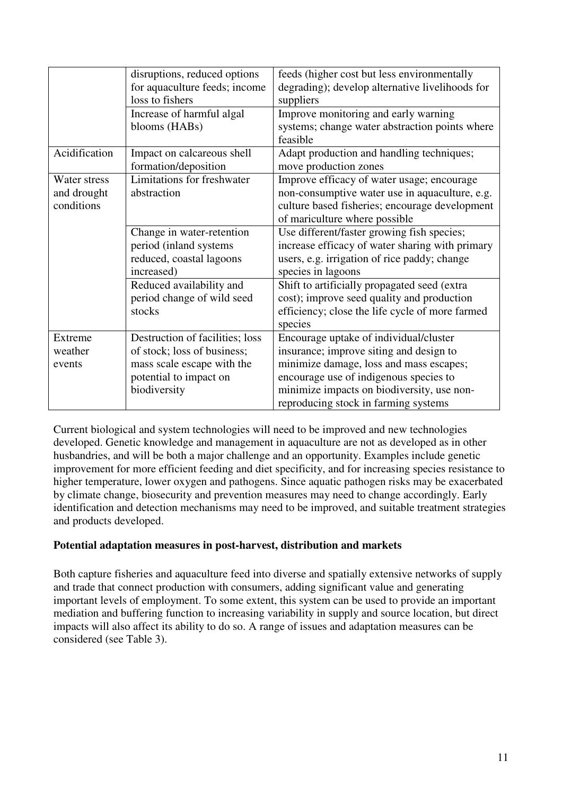|               | disruptions, reduced options    | feeds (higher cost but less environmentally     |  |
|---------------|---------------------------------|-------------------------------------------------|--|
|               | for aquaculture feeds; income   | degrading); develop alternative livelihoods for |  |
|               | loss to fishers                 | suppliers                                       |  |
|               | Increase of harmful algal       | Improve monitoring and early warning            |  |
|               | blooms (HABs)                   | systems; change water abstraction points where  |  |
|               |                                 | feasible                                        |  |
| Acidification | Impact on calcareous shell      | Adapt production and handling techniques;       |  |
|               | formation/deposition            | move production zones                           |  |
| Water stress  | Limitations for freshwater      | Improve efficacy of water usage; encourage      |  |
| and drought   | abstraction                     | non-consumptive water use in aquaculture, e.g.  |  |
| conditions    |                                 | culture based fisheries; encourage development  |  |
|               |                                 | of mariculture where possible                   |  |
|               | Change in water-retention       | Use different/faster growing fish species;      |  |
|               | period (inland systems          | increase efficacy of water sharing with primary |  |
|               | reduced, coastal lagoons        | users, e.g. irrigation of rice paddy; change    |  |
|               | increased)                      | species in lagoons                              |  |
|               | Reduced availability and        | Shift to artificially propagated seed (extra    |  |
|               | period change of wild seed      | cost); improve seed quality and production      |  |
|               | stocks                          | efficiency; close the life cycle of more farmed |  |
|               |                                 | species                                         |  |
| Extreme       | Destruction of facilities; loss | Encourage uptake of individual/cluster          |  |
| weather       | of stock; loss of business;     | insurance; improve siting and design to         |  |
| events        | mass scale escape with the      | minimize damage, loss and mass escapes;         |  |
|               | potential to impact on          | encourage use of indigenous species to          |  |
|               | biodiversity                    | minimize impacts on biodiversity, use non-      |  |
|               |                                 | reproducing stock in farming systems            |  |

Current biological and system technologies will need to be improved and new technologies developed. Genetic knowledge and management in aquaculture are not as developed as in other husbandries, and will be both a major challenge and an opportunity. Examples include genetic improvement for more efficient feeding and diet specificity, and for increasing species resistance to higher temperature, lower oxygen and pathogens. Since aquatic pathogen risks may be exacerbated by climate change, biosecurity and prevention measures may need to change accordingly. Early identification and detection mechanisms may need to be improved, and suitable treatment strategies and products developed.

# **Potential adaptation measures in post-harvest, distribution and markets**

Both capture fisheries and aquaculture feed into diverse and spatially extensive networks of supply and trade that connect production with consumers, adding significant value and generating important levels of employment. To some extent, this system can be used to provide an important mediation and buffering function to increasing variability in supply and source location, but direct impacts will also affect its ability to do so. A range of issues and adaptation measures can be considered (see Table 3).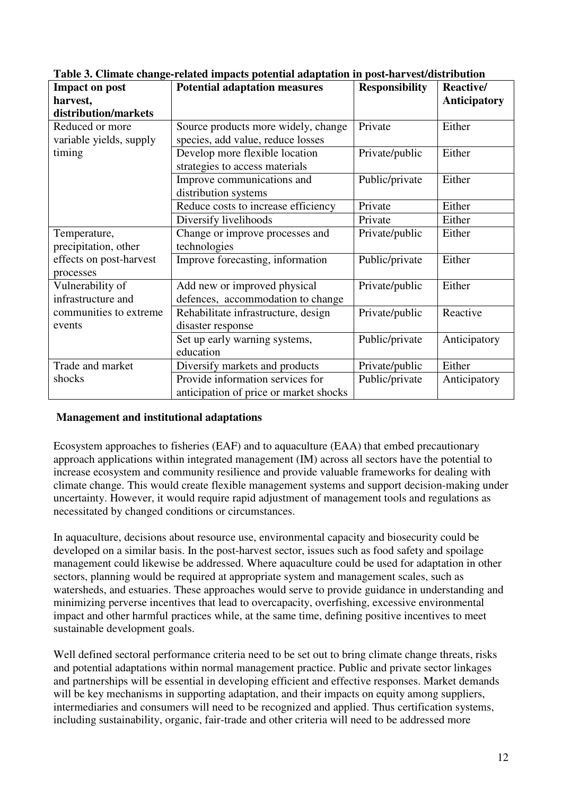| <b>Impact on post</b>   | <b>Potential adaptation measures</b>   | <b>Responsibility</b> | Reactive/           |
|-------------------------|----------------------------------------|-----------------------|---------------------|
| harvest,                |                                        |                       | <b>Anticipatory</b> |
| distribution/markets    |                                        |                       |                     |
| Reduced or more         | Source products more widely, change    | Private               | Either              |
| variable yields, supply | species, add value, reduce losses      |                       |                     |
| timing                  | Develop more flexible location         | Private/public        | Either              |
|                         | strategies to access materials         |                       |                     |
|                         | Improve communications and             | Public/private        | Either              |
|                         | distribution systems                   |                       |                     |
|                         | Reduce costs to increase efficiency    | Private               | Either              |
|                         | Diversify livelihoods                  | Private               | Either              |
| Temperature,            | Change or improve processes and        | Private/public        | Either              |
| precipitation, other    | technologies                           |                       |                     |
| effects on post-harvest | Improve forecasting, information       | Public/private        | Either              |
| processes               |                                        |                       |                     |
| Vulnerability of        | Add new or improved physical           | Private/public        | Either              |
| infrastructure and      | defences, accommodation to change      |                       |                     |
| communities to extreme  | Rehabilitate infrastructure, design    | Private/public        | Reactive            |
| events                  | disaster response                      |                       |                     |
|                         | Set up early warning systems,          | Public/private        | Anticipatory        |
|                         | education                              |                       |                     |
| Trade and market        | Diversify markets and products         | Private/public        | Either              |
| shocks                  | Provide information services for       | Public/private        | Anticipatory        |
|                         | anticipation of price or market shocks |                       |                     |

**Table 3. Climate change-related impacts potential adaptation in post-harvest/distribution** 

#### **Management and institutional adaptations**

Ecosystem approaches to fisheries (EAF) and to aquaculture (EAA) that embed precautionary approach applications within integrated management (IM) across all sectors have the potential to increase ecosystem and community resilience and provide valuable frameworks for dealing with climate change. This would create flexible management systems and support decision-making under uncertainty. However, it would require rapid adjustment of management tools and regulations as necessitated by changed conditions or circumstances.

In aquaculture, decisions about resource use, environmental capacity and biosecurity could be developed on a similar basis. In the post-harvest sector, issues such as food safety and spoilage management could likewise be addressed. Where aquaculture could be used for adaptation in other sectors, planning would be required at appropriate system and management scales, such as watersheds, and estuaries. These approaches would serve to provide guidance in understanding and minimizing perverse incentives that lead to overcapacity, overfishing, excessive environmental impact and other harmful practices while, at the same time, defining positive incentives to meet sustainable development goals.

Well defined sectoral performance criteria need to be set out to bring climate change threats, risks and potential adaptations within normal management practice. Public and private sector linkages and partnerships will be essential in developing efficient and effective responses. Market demands will be key mechanisms in supporting adaptation, and their impacts on equity among suppliers, intermediaries and consumers will need to be recognized and applied. Thus certification systems, including sustainability, organic, fair-trade and other criteria will need to be addressed more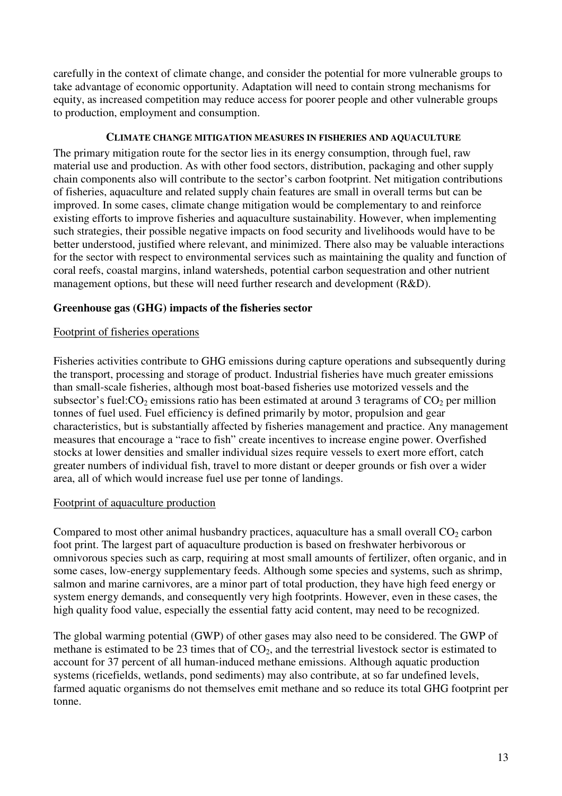carefully in the context of climate change, and consider the potential for more vulnerable groups to take advantage of economic opportunity. Adaptation will need to contain strong mechanisms for equity, as increased competition may reduce access for poorer people and other vulnerable groups to production, employment and consumption.

#### **CLIMATE CHANGE MITIGATION MEASURES IN FISHERIES AND AQUACULTURE**

The primary mitigation route for the sector lies in its energy consumption, through fuel, raw material use and production. As with other food sectors, distribution, packaging and other supply chain components also will contribute to the sector's carbon footprint. Net mitigation contributions of fisheries, aquaculture and related supply chain features are small in overall terms but can be improved. In some cases, climate change mitigation would be complementary to and reinforce existing efforts to improve fisheries and aquaculture sustainability. However, when implementing such strategies, their possible negative impacts on food security and livelihoods would have to be better understood, justified where relevant, and minimized. There also may be valuable interactions for the sector with respect to environmental services such as maintaining the quality and function of coral reefs, coastal margins, inland watersheds, potential carbon sequestration and other nutrient management options, but these will need further research and development (R&D).

# **Greenhouse gas (GHG) impacts of the fisheries sector**

#### Footprint of fisheries operations

Fisheries activities contribute to GHG emissions during capture operations and subsequently during the transport, processing and storage of product. Industrial fisheries have much greater emissions than small-scale fisheries, although most boat-based fisheries use motorized vessels and the subsector's fuel: $CO<sub>2</sub>$  emissions ratio has been estimated at around 3 teragrams of  $CO<sub>2</sub>$  per million tonnes of fuel used. Fuel efficiency is defined primarily by motor, propulsion and gear characteristics, but is substantially affected by fisheries management and practice. Any management measures that encourage a "race to fish" create incentives to increase engine power. Overfished stocks at lower densities and smaller individual sizes require vessels to exert more effort, catch greater numbers of individual fish, travel to more distant or deeper grounds or fish over a wider area, all of which would increase fuel use per tonne of landings.

# Footprint of aquaculture production

Compared to most other animal husbandry practices, aquaculture has a small overall  $CO<sub>2</sub>$  carbon foot print. The largest part of aquaculture production is based on freshwater herbivorous or omnivorous species such as carp, requiring at most small amounts of fertilizer, often organic, and in some cases, low-energy supplementary feeds. Although some species and systems, such as shrimp, salmon and marine carnivores, are a minor part of total production, they have high feed energy or system energy demands, and consequently very high footprints. However, even in these cases, the high quality food value, especially the essential fatty acid content, may need to be recognized.

The global warming potential (GWP) of other gases may also need to be considered. The GWP of methane is estimated to be 23 times that of  $CO<sub>2</sub>$ , and the terrestrial livestock sector is estimated to account for 37 percent of all human-induced methane emissions. Although aquatic production systems (ricefields, wetlands, pond sediments) may also contribute, at so far undefined levels, farmed aquatic organisms do not themselves emit methane and so reduce its total GHG footprint per tonne.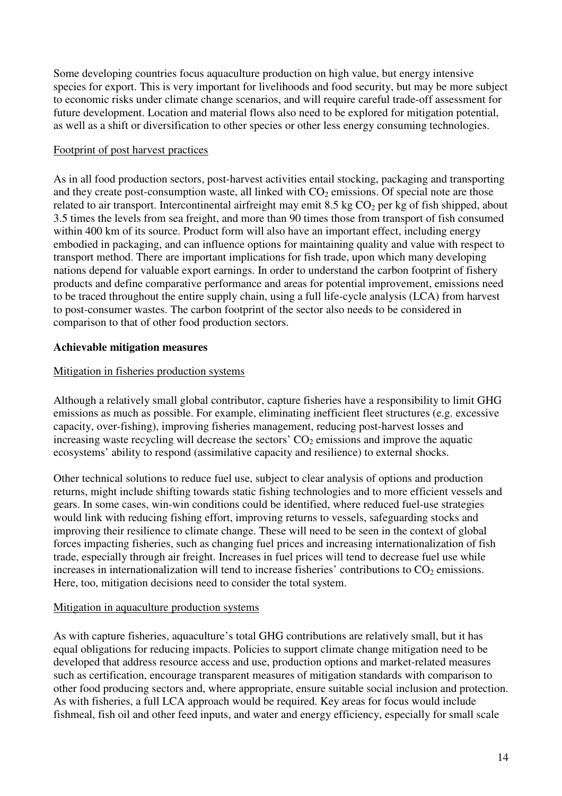Some developing countries focus aquaculture production on high value, but energy intensive species for export. This is very important for livelihoods and food security, but may be more subject to economic risks under climate change scenarios, and will require careful trade-off assessment for future development. Location and material flows also need to be explored for mitigation potential, as well as a shift or diversification to other species or other less energy consuming technologies.

#### Footprint of post harvest practices

As in all food production sectors, post-harvest activities entail stocking, packaging and transporting and they create post-consumption waste, all linked with  $CO<sub>2</sub>$  emissions. Of special note are those related to air transport. Intercontinental airfreight may emit 8.5 kg  $CO<sub>2</sub>$  per kg of fish shipped, about 3.5 times the levels from sea freight, and more than 90 times those from transport of fish consumed within 400 km of its source. Product form will also have an important effect, including energy embodied in packaging, and can influence options for maintaining quality and value with respect to transport method. There are important implications for fish trade, upon which many developing nations depend for valuable export earnings. In order to understand the carbon footprint of fishery products and define comparative performance and areas for potential improvement, emissions need to be traced throughout the entire supply chain, using a full life-cycle analysis (LCA) from harvest to post-consumer wastes. The carbon footprint of the sector also needs to be considered in comparison to that of other food production sectors.

# **Achievable mitigation measures**

#### Mitigation in fisheries production systems

Although a relatively small global contributor, capture fisheries have a responsibility to limit GHG emissions as much as possible. For example, eliminating inefficient fleet structures (e.g. excessive capacity, over-fishing), improving fisheries management, reducing post-harvest losses and increasing waste recycling will decrease the sectors'  $CO<sub>2</sub>$  emissions and improve the aquatic ecosystems' ability to respond (assimilative capacity and resilience) to external shocks.

Other technical solutions to reduce fuel use, subject to clear analysis of options and production returns, might include shifting towards static fishing technologies and to more efficient vessels and gears. In some cases, win-win conditions could be identified, where reduced fuel-use strategies would link with reducing fishing effort, improving returns to vessels, safeguarding stocks and improving their resilience to climate change. These will need to be seen in the context of global forces impacting fisheries, such as changing fuel prices and increasing internationalization of fish trade, especially through air freight. Increases in fuel prices will tend to decrease fuel use while increases in internationalization will tend to increase fisheries' contributions to  $CO<sub>2</sub>$  emissions. Here, too, mitigation decisions need to consider the total system.

# Mitigation in aquaculture production systems

As with capture fisheries, aquaculture's total GHG contributions are relatively small, but it has equal obligations for reducing impacts. Policies to support climate change mitigation need to be developed that address resource access and use, production options and market-related measures such as certification, encourage transparent measures of mitigation standards with comparison to other food producing sectors and, where appropriate, ensure suitable social inclusion and protection. As with fisheries, a full LCA approach would be required. Key areas for focus would include fishmeal, fish oil and other feed inputs, and water and energy efficiency, especially for small scale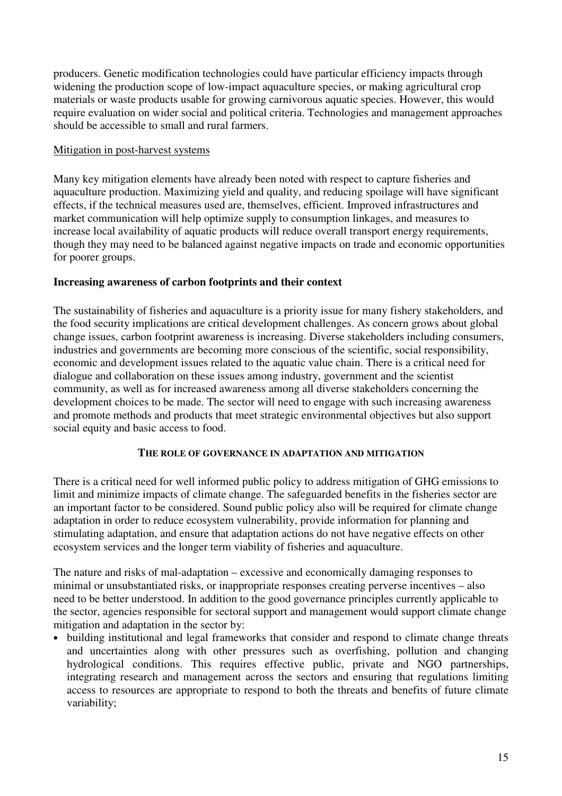producers. Genetic modification technologies could have particular efficiency impacts through widening the production scope of low-impact aquaculture species, or making agricultural crop materials or waste products usable for growing carnivorous aquatic species. However, this would require evaluation on wider social and political criteria. Technologies and management approaches should be accessible to small and rural farmers.

### Mitigation in post-harvest systems

Many key mitigation elements have already been noted with respect to capture fisheries and aquaculture production. Maximizing yield and quality, and reducing spoilage will have significant effects, if the technical measures used are, themselves, efficient. Improved infrastructures and market communication will help optimize supply to consumption linkages, and measures to increase local availability of aquatic products will reduce overall transport energy requirements, though they may need to be balanced against negative impacts on trade and economic opportunities for poorer groups.

# **Increasing awareness of carbon footprints and their context**

The sustainability of fisheries and aquaculture is a priority issue for many fishery stakeholders, and the food security implications are critical development challenges. As concern grows about global change issues, carbon footprint awareness is increasing. Diverse stakeholders including consumers, industries and governments are becoming more conscious of the scientific, social responsibility, economic and development issues related to the aquatic value chain. There is a critical need for dialogue and collaboration on these issues among industry, government and the scientist community, as well as for increased awareness among all diverse stakeholders concerning the development choices to be made. The sector will need to engage with such increasing awareness and promote methods and products that meet strategic environmental objectives but also support social equity and basic access to food.

#### **THE ROLE OF GOVERNANCE IN ADAPTATION AND MITIGATION**

There is a critical need for well informed public policy to address mitigation of GHG emissions to limit and minimize impacts of climate change. The safeguarded benefits in the fisheries sector are an important factor to be considered. Sound public policy also will be required for climate change adaptation in order to reduce ecosystem vulnerability, provide information for planning and stimulating adaptation, and ensure that adaptation actions do not have negative effects on other ecosystem services and the longer term viability of fisheries and aquaculture.

The nature and risks of mal-adaptation – excessive and economically damaging responses to minimal or unsubstantiated risks, or inappropriate responses creating perverse incentives – also need to be better understood. In addition to the good governance principles currently applicable to the sector, agencies responsible for sectoral support and management would support climate change mitigation and adaptation in the sector by:

• building institutional and legal frameworks that consider and respond to climate change threats and uncertainties along with other pressures such as overfishing, pollution and changing hydrological conditions. This requires effective public, private and NGO partnerships, integrating research and management across the sectors and ensuring that regulations limiting access to resources are appropriate to respond to both the threats and benefits of future climate variability;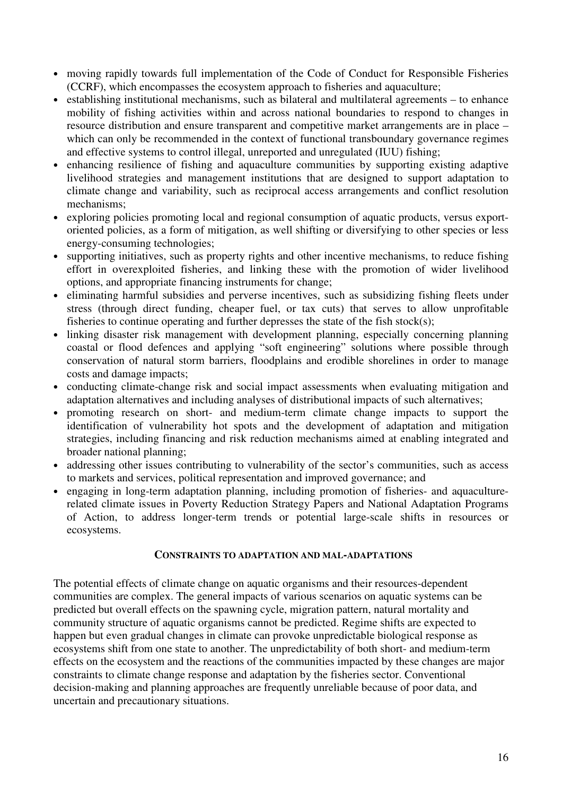- moving rapidly towards full implementation of the Code of Conduct for Responsible Fisheries (CCRF), which encompasses the ecosystem approach to fisheries and aquaculture;
- establishing institutional mechanisms, such as bilateral and multilateral agreements to enhance mobility of fishing activities within and across national boundaries to respond to changes in resource distribution and ensure transparent and competitive market arrangements are in place – which can only be recommended in the context of functional transboundary governance regimes and effective systems to control illegal, unreported and unregulated (IUU) fishing;
- enhancing resilience of fishing and aquaculture communities by supporting existing adaptive livelihood strategies and management institutions that are designed to support adaptation to climate change and variability, such as reciprocal access arrangements and conflict resolution mechanisms;
- exploring policies promoting local and regional consumption of aquatic products, versus exportoriented policies, as a form of mitigation, as well shifting or diversifying to other species or less energy-consuming technologies;
- supporting initiatives, such as property rights and other incentive mechanisms, to reduce fishing effort in overexploited fisheries, and linking these with the promotion of wider livelihood options, and appropriate financing instruments for change;
- eliminating harmful subsidies and perverse incentives, such as subsidizing fishing fleets under stress (through direct funding, cheaper fuel, or tax cuts) that serves to allow unprofitable fisheries to continue operating and further depresses the state of the fish stock(s);
- linking disaster risk management with development planning, especially concerning planning coastal or flood defences and applying "soft engineering" solutions where possible through conservation of natural storm barriers, floodplains and erodible shorelines in order to manage costs and damage impacts;
- conducting climate-change risk and social impact assessments when evaluating mitigation and adaptation alternatives and including analyses of distributional impacts of such alternatives;
- promoting research on short- and medium-term climate change impacts to support the identification of vulnerability hot spots and the development of adaptation and mitigation strategies, including financing and risk reduction mechanisms aimed at enabling integrated and broader national planning;
- addressing other issues contributing to vulnerability of the sector's communities, such as access to markets and services, political representation and improved governance; and
- engaging in long-term adaptation planning, including promotion of fisheries- and aquaculturerelated climate issues in Poverty Reduction Strategy Papers and National Adaptation Programs of Action, to address longer-term trends or potential large-scale shifts in resources or ecosystems.

#### **CONSTRAINTS TO ADAPTATION AND MAL-ADAPTATIONS**

The potential effects of climate change on aquatic organisms and their resources-dependent communities are complex. The general impacts of various scenarios on aquatic systems can be predicted but overall effects on the spawning cycle, migration pattern, natural mortality and community structure of aquatic organisms cannot be predicted. Regime shifts are expected to happen but even gradual changes in climate can provoke unpredictable biological response as ecosystems shift from one state to another. The unpredictability of both short- and medium-term effects on the ecosystem and the reactions of the communities impacted by these changes are major constraints to climate change response and adaptation by the fisheries sector. Conventional decision-making and planning approaches are frequently unreliable because of poor data, and uncertain and precautionary situations.